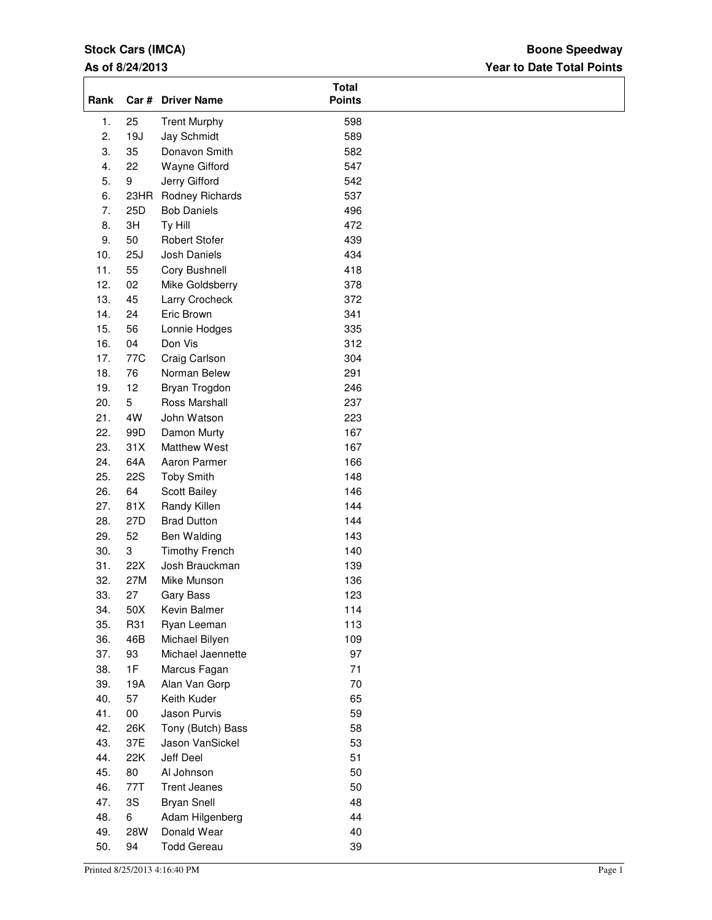# **Stock Cars (IMCA)**

## **As of 8/24/2013**

## **Year to Date Total Points Boone Speedway**

| Rank       |            | Car # Driver Name                   | <b>Total</b><br><b>Points</b> |  |
|------------|------------|-------------------------------------|-------------------------------|--|
| 1.         | 25         | <b>Trent Murphy</b>                 | 598                           |  |
| 2.         | 19J        | Jay Schmidt                         | 589                           |  |
| 3.         | 35         | Donavon Smith                       | 582                           |  |
| 4.         | 22         | Wayne Gifford                       | 547                           |  |
| 5.         | 9          | Jerry Gifford                       | 542                           |  |
| 6.         |            | 23HR Rodney Richards                | 537                           |  |
| 7.         | 25D        | <b>Bob Daniels</b>                  | 496                           |  |
| 8.         | 3H         | Ty Hill                             | 472                           |  |
| 9.         | 50         | <b>Robert Stofer</b>                | 439                           |  |
| 10.        | 25J        | Josh Daniels                        | 434                           |  |
| 11.        | 55         | Cory Bushnell                       | 418                           |  |
| 12.        | 02         | Mike Goldsberry                     | 378                           |  |
| 13.        | 45         | Larry Crocheck                      | 372                           |  |
| 14.        | 24         | Eric Brown                          | 341                           |  |
| 15.        | 56         | Lonnie Hodges                       | 335                           |  |
| 16.        | 04         | Don Vis                             | 312                           |  |
| 17.        | 77C        | Craig Carlson                       | 304                           |  |
| 18.        | 76         | Norman Belew                        | 291                           |  |
| 19.        | 12         | Bryan Trogdon                       | 246                           |  |
| 20.        | 5          | Ross Marshall                       | 237                           |  |
| 21.        | 4W         | John Watson                         | 223                           |  |
| 22.        | 99D        | Damon Murty                         | 167                           |  |
| 23.<br>24. | 31X<br>64A | <b>Matthew West</b><br>Aaron Parmer | 167<br>166                    |  |
| 25.        | <b>22S</b> | <b>Toby Smith</b>                   | 148                           |  |
| 26.        | 64         | Scott Bailey                        | 146                           |  |
| 27.        | 81X        | Randy Killen                        | 144                           |  |
| 28.        | 27D        | <b>Brad Dutton</b>                  | 144                           |  |
| 29.        | 52         | Ben Walding                         | 143                           |  |
| 30.        | 3          | <b>Timothy French</b>               | 140                           |  |
| 31.        | 22X        | Josh Brauckman                      | 139                           |  |
| 32.        | 27M        | Mike Munson                         | 136                           |  |
| 33.        | 27         | <b>Gary Bass</b>                    | 123                           |  |
| 34.        | 50X        | Kevin Balmer                        | 114                           |  |
| 35.        | R31        | Ryan Leeman                         | 113                           |  |
| 36.        | 46B        | Michael Bilyen                      | 109                           |  |
| 37.        | 93         | Michael Jaennette                   | 97                            |  |
| 38.        | 1F         | Marcus Fagan                        | 71                            |  |
| 39.        | 19A        | Alan Van Gorp                       | $70\,$                        |  |
| 40.        | 57         | Keith Kuder                         | 65                            |  |
| 41.        | $00\,$     | Jason Purvis                        | 59                            |  |
| 42.        | 26K        | Tony (Butch) Bass                   | 58                            |  |
| 43.        | 37E        | Jason VanSickel                     | 53                            |  |
| 44.        | 22K        | Jeff Deel                           | 51                            |  |
| 45.        | 80         | Al Johnson                          | 50                            |  |
| 46.        | 77T        | <b>Trent Jeanes</b>                 | 50                            |  |
| 47.        | 3S         | <b>Bryan Snell</b>                  | 48                            |  |
| 48.        | 6          | Adam Hilgenberg                     | 44                            |  |
| 49.        | 28W        | Donald Wear                         | 40                            |  |
| 50.        | 94         | <b>Todd Gereau</b>                  | 39                            |  |